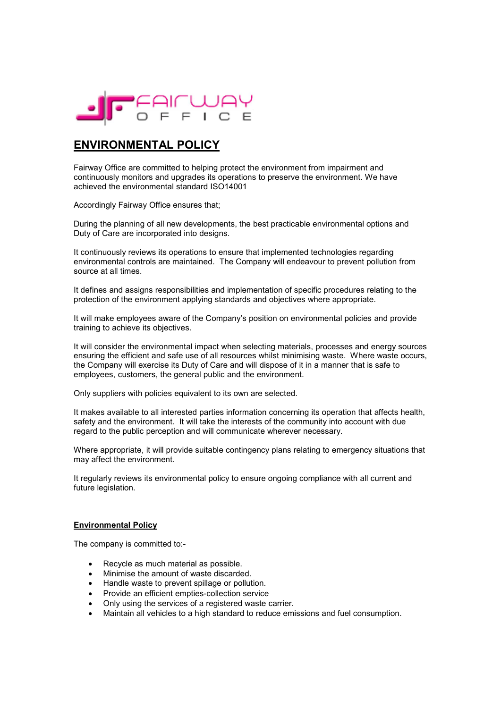

# **ENVIRONMENTAL POLICY**

Fairway Office are committed to helping protect the environment from impairment and continuously monitors and upgrades its operations to preserve the environment. We have achieved the environmental standard ISO14001

Accordingly Fairway Office ensures that;

During the planning of all new developments, the best practicable environmental options and Duty of Care are incorporated into designs.

It continuously reviews its operations to ensure that implemented technologies regarding environmental controls are maintained. The Company will endeavour to prevent pollution from source at all times.

It defines and assigns responsibilities and implementation of specific procedures relating to the protection of the environment applying standards and objectives where appropriate.

It will make employees aware of the Company's position on environmental policies and provide training to achieve its objectives.

It will consider the environmental impact when selecting materials, processes and energy sources ensuring the efficient and safe use of all resources whilst minimising waste. Where waste occurs, the Company will exercise its Duty of Care and will dispose of it in a manner that is safe to employees, customers, the general public and the environment.

Only suppliers with policies equivalent to its own are selected.

It makes available to all interested parties information concerning its operation that affects health, safety and the environment. It will take the interests of the community into account with due regard to the public perception and will communicate wherever necessary.

Where appropriate, it will provide suitable contingency plans relating to emergency situations that may affect the environment.

It regularly reviews its environmental policy to ensure ongoing compliance with all current and future legislation.

#### **Environmental Policy**

The company is committed to:-

- Recycle as much material as possible.
- Minimise the amount of waste discarded.
- Handle waste to prevent spillage or pollution.
- Provide an efficient empties-collection service
- Only using the services of a registered waste carrier.
- Maintain all vehicles to a high standard to reduce emissions and fuel consumption.